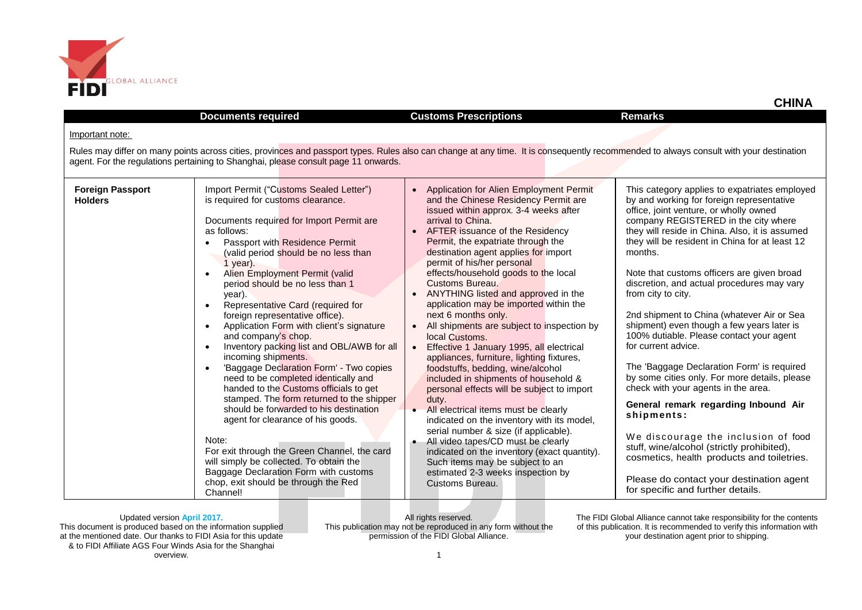

|                                           | <b>Documents required</b>                                                                                                                                                                                                                                                                                                                                                                                                                                                                                                                                                                                                                                                                                                                                                                                                                                                                                                                                                                                                                                | <b>Customs Prescriptions</b>                                                                                                                                                                                                                                                                                                                                                                                                                                                                                                                                                                                                                                                                                                                                                                                                                                                                                                                                                                                                                                                                                        | <b>Remarks</b>                                                                                                                                                                                                                                                                                                                                                                                                                                                                                                                                                                                                                                                                                                                                                                                                                                                                                                                                                                               |
|-------------------------------------------|----------------------------------------------------------------------------------------------------------------------------------------------------------------------------------------------------------------------------------------------------------------------------------------------------------------------------------------------------------------------------------------------------------------------------------------------------------------------------------------------------------------------------------------------------------------------------------------------------------------------------------------------------------------------------------------------------------------------------------------------------------------------------------------------------------------------------------------------------------------------------------------------------------------------------------------------------------------------------------------------------------------------------------------------------------|---------------------------------------------------------------------------------------------------------------------------------------------------------------------------------------------------------------------------------------------------------------------------------------------------------------------------------------------------------------------------------------------------------------------------------------------------------------------------------------------------------------------------------------------------------------------------------------------------------------------------------------------------------------------------------------------------------------------------------------------------------------------------------------------------------------------------------------------------------------------------------------------------------------------------------------------------------------------------------------------------------------------------------------------------------------------------------------------------------------------|----------------------------------------------------------------------------------------------------------------------------------------------------------------------------------------------------------------------------------------------------------------------------------------------------------------------------------------------------------------------------------------------------------------------------------------------------------------------------------------------------------------------------------------------------------------------------------------------------------------------------------------------------------------------------------------------------------------------------------------------------------------------------------------------------------------------------------------------------------------------------------------------------------------------------------------------------------------------------------------------|
| Important note:                           |                                                                                                                                                                                                                                                                                                                                                                                                                                                                                                                                                                                                                                                                                                                                                                                                                                                                                                                                                                                                                                                          |                                                                                                                                                                                                                                                                                                                                                                                                                                                                                                                                                                                                                                                                                                                                                                                                                                                                                                                                                                                                                                                                                                                     |                                                                                                                                                                                                                                                                                                                                                                                                                                                                                                                                                                                                                                                                                                                                                                                                                                                                                                                                                                                              |
|                                           | agent. For the regulations pertaining to Shanghai, please consult page 11 onwards.                                                                                                                                                                                                                                                                                                                                                                                                                                                                                                                                                                                                                                                                                                                                                                                                                                                                                                                                                                       | Rules may differ on many points across cities, provinces and passport types. Rules also can change at any time. It is consequently recommended to always consult with your destination                                                                                                                                                                                                                                                                                                                                                                                                                                                                                                                                                                                                                                                                                                                                                                                                                                                                                                                              |                                                                                                                                                                                                                                                                                                                                                                                                                                                                                                                                                                                                                                                                                                                                                                                                                                                                                                                                                                                              |
| <b>Foreign Passport</b><br><b>Holders</b> | Import Permit ("Customs Sealed Letter")<br>is required for customs clearance.<br>Documents required for Import Permit are<br>as follows:<br>Passport with Residence Permit<br>(valid period should be no less than<br>1 year).<br>Alien Employment Permit (valid<br>$\bullet$<br>period should be no less than 1<br>year).<br>Representative Card (required for<br>$\bullet$<br>foreign representative office).<br>Application Form with client's signature<br>$\bullet$<br>and company's chop.<br>Inventory packing list and OBL/AWB for all<br>$\bullet$<br>incoming shipments.<br>'Baggage Declaration Form' - Two copies<br>$\bullet$<br>need to be completed identically and<br>handed to the Customs officials to get<br>stamped. The form returned to the shipper<br>should be forwarded to his destination<br>agent for clearance of his goods.<br>Note:<br>For exit through the Green Channel, the card<br>will simply be collected. To obtain the<br>Baggage Declaration Form with customs<br>chop, exit should be through the Red<br>Channel! | Application for Alien Employment Permit<br>and the Chinese Residency Permit are<br>issued within approx. 3-4 weeks after<br>arrival to China.<br>AFTER issuance of the Residency<br>Permit, the expatriate through the<br>destination agent applies for import<br>permit of his/her personal<br>effects/household goods to the local<br>Customs Bureau.<br>ANYTHING listed and approved in the<br>$\bullet$<br>application may be imported within the<br>next 6 months only.<br>All shipments are subject to inspection by<br>local Customs.<br>Effective 1 January 1995, all electrical<br>$\bullet$<br>appliances, furniture, lighting fixtures,<br>foodstuffs, bedding, wine/alcohol<br>included in shipments of household &<br>personal effects will be subject to import<br>duty.<br>All electrical items must be clearly<br>indicated on the inventory with its model,<br>serial number & size (if applicable).<br>All video tapes/CD must be clearly<br>$\bullet$<br>indicated on the inventory (exact quantity).<br>Such items may be subject to an<br>estimated 2-3 weeks inspection by<br>Customs Bureau. | This category applies to expatriates employed<br>by and working for foreign representative<br>office, joint venture, or wholly owned<br>company REGISTERED in the city where<br>they will reside in China. Also, it is assumed<br>they will be resident in China for at least 12<br>months.<br>Note that customs officers are given broad<br>discretion, and actual procedures may vary<br>from city to city.<br>2nd shipment to China (whatever Air or Sea<br>shipment) even though a few years later is<br>100% dutiable. Please contact your agent<br>for current advice.<br>The 'Baggage Declaration Form' is required<br>by some cities only. For more details, please<br>check with your agents in the area.<br>General remark regarding Inbound Air<br>shipments:<br>We discourage the inclusion of food<br>stuff, wine/alcohol (strictly prohibited),<br>cosmetics, health products and toiletries.<br>Please do contact your destination agent<br>for specific and further details. |

All rights reserved. This publication may not be reproduced in any form without the permission of the FIDI Global Alliance.

The FIDI Global Alliance cannot take responsibility for the contents of this publication. It is recommended to verify this information with your destination agent prior to shipping.

 **CHINA**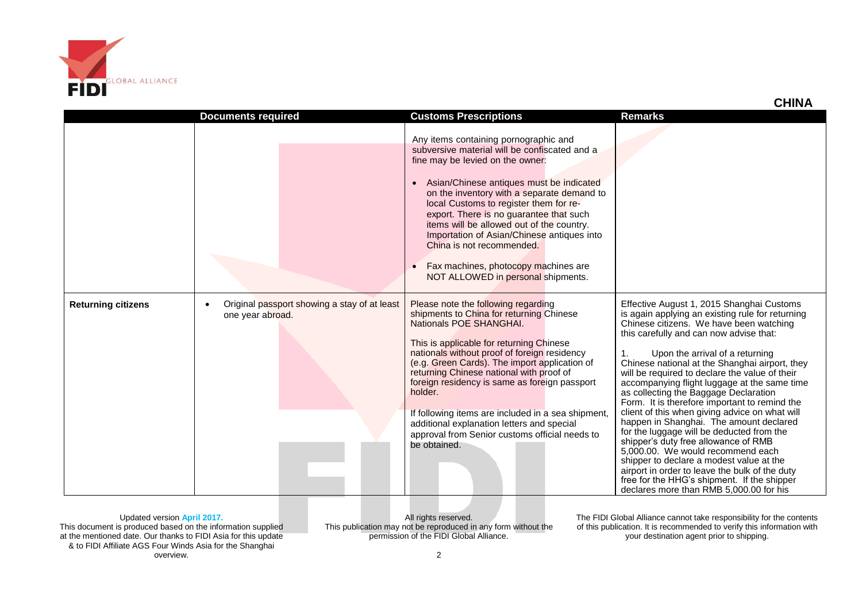

|                           |                                                                               |                                                                                                                                                                                                                                                                                                                                                                                                                                                                                                                                           | איווו י                                                                                                                                                                                                                                                                                                                                                                                                                                                                                                                                                                                                                                                                                                                                                                                                                                                                                   |
|---------------------------|-------------------------------------------------------------------------------|-------------------------------------------------------------------------------------------------------------------------------------------------------------------------------------------------------------------------------------------------------------------------------------------------------------------------------------------------------------------------------------------------------------------------------------------------------------------------------------------------------------------------------------------|-------------------------------------------------------------------------------------------------------------------------------------------------------------------------------------------------------------------------------------------------------------------------------------------------------------------------------------------------------------------------------------------------------------------------------------------------------------------------------------------------------------------------------------------------------------------------------------------------------------------------------------------------------------------------------------------------------------------------------------------------------------------------------------------------------------------------------------------------------------------------------------------|
|                           | <b>Documents required</b>                                                     | <b>Customs Prescriptions</b>                                                                                                                                                                                                                                                                                                                                                                                                                                                                                                              | <b>Remarks</b>                                                                                                                                                                                                                                                                                                                                                                                                                                                                                                                                                                                                                                                                                                                                                                                                                                                                            |
|                           |                                                                               | Any items containing pornographic and<br>subversive material will be confiscated and a<br>fine may be levied on the owner:<br>Asian/Chinese antiques must be indicated<br>$\bullet$<br>on the inventory with a separate demand to<br>local Customs to register them for re-<br>export. There is no guarantee that such<br>items will be allowed out of the country.<br>Importation of Asian/Chinese antiques into<br>China is not recommended.<br>Fax machines, photocopy machines are<br>$\bullet$<br>NOT ALLOWED in personal shipments. |                                                                                                                                                                                                                                                                                                                                                                                                                                                                                                                                                                                                                                                                                                                                                                                                                                                                                           |
| <b>Returning citizens</b> | Original passport showing a stay of at least<br>$\bullet$<br>one year abroad. | Please note the following regarding<br>shipments to China for returning Chinese<br>Nationals POE SHANGHAI.<br>This is applicable for returning Chinese<br>nationals without proof of foreign residency<br>(e.g. Green Cards). The import application of<br>returning Chinese national with proof of<br>foreign residency is same as foreign passport<br>holder.<br>If following items are included in a sea shipment,<br>additional explanation letters and special<br>approval from Senior customs official needs to<br>be obtained.     | Effective August 1, 2015 Shanghai Customs<br>is again applying an existing rule for returning<br>Chinese citizens. We have been watching<br>this carefully and can now advise that:<br>1.<br>Upon the arrival of a returning<br>Chinese national at the Shanghai airport, they<br>will be required to declare the value of their<br>accompanying flight luggage at the same time<br>as collecting the Baggage Declaration<br>Form. It is therefore important to remind the<br>client of this when giving advice on what will<br>happen in Shanghai. The amount declared<br>for the luggage will be deducted from the<br>shipper's duty free allowance of RMB<br>5,000.00. We would recommend each<br>shipper to declare a modest value at the<br>airport in order to leave the bulk of the duty<br>free for the HHG's shipment. If the shipper<br>declares more than RMB 5,000.00 for his |

Updated version **April 2017.** This document is produced based on the information supplied at the mentioned date. Our thanks to FIDI Asia for this update & to FIDI Affiliate AGS Four Winds Asia for the Shanghai overview.

All rights reserved. This publication may not be reproduced in any form without the permission of the FIDI Global Alliance.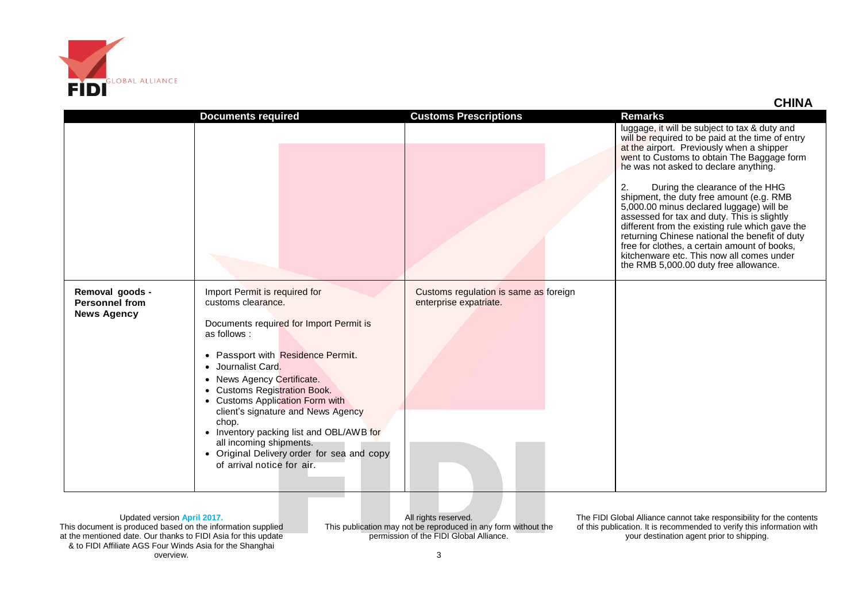

|                                                                | <b>Documents required</b>                                                                                                                                                                                                                                                                                                                                                                                                                                                   | <b>Customs Prescriptions</b>                                    | <b>Remarks</b>                                                                                                                                                                                                                                                                                                                                                                                                                                                                                                                                                                                                                                                   |
|----------------------------------------------------------------|-----------------------------------------------------------------------------------------------------------------------------------------------------------------------------------------------------------------------------------------------------------------------------------------------------------------------------------------------------------------------------------------------------------------------------------------------------------------------------|-----------------------------------------------------------------|------------------------------------------------------------------------------------------------------------------------------------------------------------------------------------------------------------------------------------------------------------------------------------------------------------------------------------------------------------------------------------------------------------------------------------------------------------------------------------------------------------------------------------------------------------------------------------------------------------------------------------------------------------------|
|                                                                |                                                                                                                                                                                                                                                                                                                                                                                                                                                                             |                                                                 | luggage, it will be subject to tax & duty and<br>will be required to be paid at the time of entry<br>at the airport. Previously when a shipper<br>went to Customs to obtain The Baggage form<br>he was not asked to declare anything.<br>During the clearance of the HHG<br>2.<br>shipment, the duty free amount (e.g. RMB<br>5,000.00 minus declared luggage) will be<br>assessed for tax and duty. This is slightly<br>different from the existing rule which gave the<br>returning Chinese national the benefit of duty<br>free for clothes, a certain amount of books,<br>kitchenware etc. This now all comes under<br>the RMB 5,000.00 duty free allowance. |
| Removal goods -<br><b>Personnel from</b><br><b>News Agency</b> | Import Permit is required for<br>customs clearance.<br>Documents required for Import Permit is<br>as follows:<br>• Passport with Residence Permit.<br>• Journalist Card.<br>• News Agency Certificate.<br>• Customs Registration Book.<br>• Customs Application Form with<br>client's signature and News Agency<br>chop.<br>• Inventory packing list and OBL/AWB for<br>all incoming shipments.<br>• Original Delivery order for sea and copy<br>of arrival notice for air. | Customs regulation is same as foreign<br>enterprise expatriate. |                                                                                                                                                                                                                                                                                                                                                                                                                                                                                                                                                                                                                                                                  |

Updated version **April 2017.** This document is produced based on the information supplied at the mentioned date. Our thanks to FIDI Asia for this update & to FIDI Affiliate AGS Four Winds Asia for the Shanghai overview.

All rights reserved. This publication may not be reproduced in any form without the permission of the FIDI Global Alliance.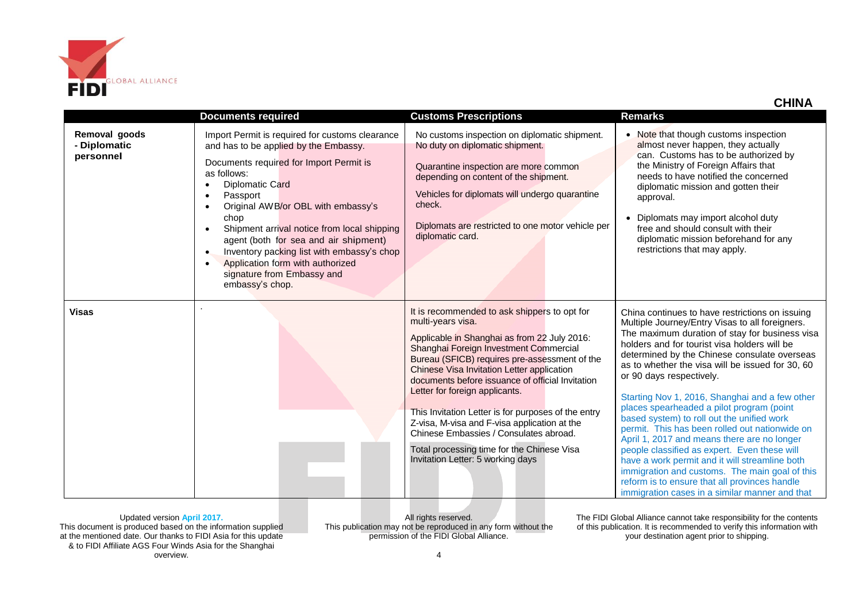

| HIN |  |
|-----|--|
|     |  |

|                                            |                                                                                                                                                                                                                                                                                                                                                                                                                                                                                      |                                                                                                                                                                                                                                                                                                                                                                                                                                                                                                                                                                                      | <b>CHINA</b>                                                                                                                                                                                                                                                                                                                                                                                                                                                                                                                                                                                                                                                                                                                                                                                                                              |
|--------------------------------------------|--------------------------------------------------------------------------------------------------------------------------------------------------------------------------------------------------------------------------------------------------------------------------------------------------------------------------------------------------------------------------------------------------------------------------------------------------------------------------------------|--------------------------------------------------------------------------------------------------------------------------------------------------------------------------------------------------------------------------------------------------------------------------------------------------------------------------------------------------------------------------------------------------------------------------------------------------------------------------------------------------------------------------------------------------------------------------------------|-------------------------------------------------------------------------------------------------------------------------------------------------------------------------------------------------------------------------------------------------------------------------------------------------------------------------------------------------------------------------------------------------------------------------------------------------------------------------------------------------------------------------------------------------------------------------------------------------------------------------------------------------------------------------------------------------------------------------------------------------------------------------------------------------------------------------------------------|
|                                            | <b>Documents required</b>                                                                                                                                                                                                                                                                                                                                                                                                                                                            | <b>Customs Prescriptions</b>                                                                                                                                                                                                                                                                                                                                                                                                                                                                                                                                                         | <b>Remarks</b>                                                                                                                                                                                                                                                                                                                                                                                                                                                                                                                                                                                                                                                                                                                                                                                                                            |
| Removal goods<br>- Diplomatic<br>personnel | Import Permit is required for customs clearance<br>and has to be applied by the Embassy.<br>Documents required for Import Permit is<br>as follows:<br>Diplomatic Card<br>Passport<br>Original AWB/or OBL with embassy's<br>chop<br>Shipment arrival notice from local shipping<br>$\bullet$<br>agent (both for sea and air shipment)<br>Inventory packing list with embassy's chop<br>$\bullet$<br>Application form with authorized<br>signature from Embassy and<br>embassy's chop. | No customs inspection on diplomatic shipment.<br>No duty on diplomatic shipment.<br>Quarantine inspection are more common<br>depending on content of the shipment.<br>Vehicles for diplomats will undergo quarantine<br>check.<br>Diplomats are restricted to one motor vehicle per<br>diplomatic card.                                                                                                                                                                                                                                                                              | • Note that though customs inspection<br>almost never happen, they actually<br>can. Customs has to be authorized by<br>the Ministry of Foreign Affairs that<br>needs to have notified the concerned<br>diplomatic mission and gotten their<br>approval.<br>• Diplomats may import alcohol duty<br>free and should consult with their<br>diplomatic mission beforehand for any<br>restrictions that may apply.                                                                                                                                                                                                                                                                                                                                                                                                                             |
| <b>Visas</b>                               |                                                                                                                                                                                                                                                                                                                                                                                                                                                                                      | It is recommended to ask shippers to opt for<br>multi-years visa.<br>Applicable in Shanghai as from 22 July 2016:<br>Shanghai Foreign Investment Commercial<br>Bureau (SFICB) requires pre-assessment of the<br>Chinese Visa Invitation Letter application<br>documents before issuance of official Invitation<br>Letter for foreign applicants.<br>This Invitation Letter is for purposes of the entry<br>Z-visa, M-visa and F-visa application at the<br>Chinese Embassies / Consulates abroad.<br>Total processing time for the Chinese Visa<br>Invitation Letter: 5 working days | China continues to have restrictions on issuing<br>Multiple Journey/Entry Visas to all foreigners.<br>The maximum duration of stay for business visa<br>holders and for tourist visa holders will be<br>determined by the Chinese consulate overseas<br>as to whether the visa will be issued for 30, 60<br>or 90 days respectively.<br>Starting Nov 1, 2016, Shanghai and a few other<br>places spearheaded a pilot program (point<br>based system) to roll out the unified work<br>permit. This has been rolled out nationwide on<br>April 1, 2017 and means there are no longer<br>people classified as expert. Even these will<br>have a work permit and it will streamline both<br>immigration and customs. The main goal of this<br>reform is to ensure that all provinces handle<br>immigration cases in a similar manner and that |

All rights reserved. This publication may not be reproduced in any form without the permission of the FIDI Global Alliance.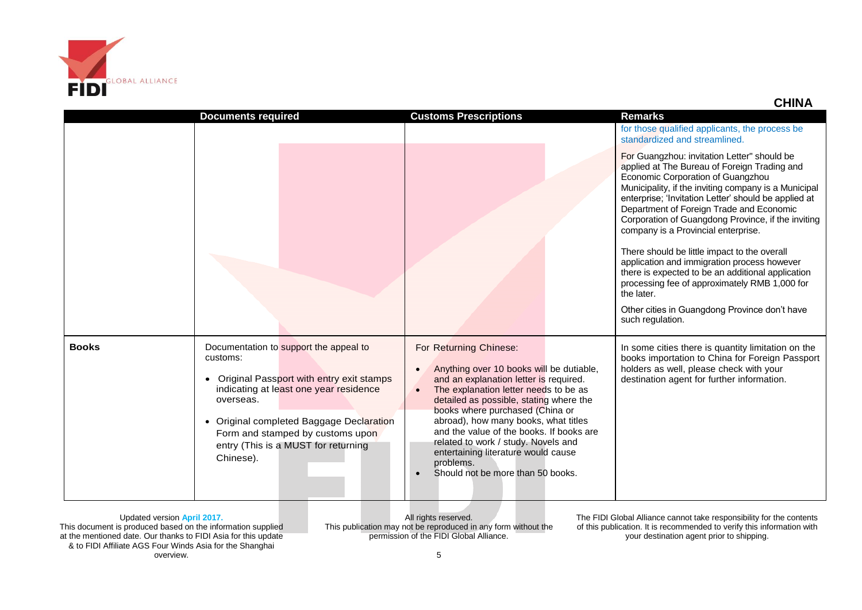

|              |                                                                                                                                                                                                                                                                                             |                                                                                                                                                                                                                                                                                                                                                                                                                                                         | איווו י                                                                                                                                                                                                                                                                                                                                                                                                                                                                                                                                                                                                                                                                           |
|--------------|---------------------------------------------------------------------------------------------------------------------------------------------------------------------------------------------------------------------------------------------------------------------------------------------|---------------------------------------------------------------------------------------------------------------------------------------------------------------------------------------------------------------------------------------------------------------------------------------------------------------------------------------------------------------------------------------------------------------------------------------------------------|-----------------------------------------------------------------------------------------------------------------------------------------------------------------------------------------------------------------------------------------------------------------------------------------------------------------------------------------------------------------------------------------------------------------------------------------------------------------------------------------------------------------------------------------------------------------------------------------------------------------------------------------------------------------------------------|
|              | <b>Documents required</b>                                                                                                                                                                                                                                                                   | <b>Customs Prescriptions</b>                                                                                                                                                                                                                                                                                                                                                                                                                            | <b>Remarks</b><br>for those qualified applicants, the process be<br>standardized and streamlined.                                                                                                                                                                                                                                                                                                                                                                                                                                                                                                                                                                                 |
|              |                                                                                                                                                                                                                                                                                             |                                                                                                                                                                                                                                                                                                                                                                                                                                                         | For Guangzhou: invitation Letter" should be<br>applied at The Bureau of Foreign Trading and<br>Economic Corporation of Guangzhou<br>Municipality, if the inviting company is a Municipal<br>enterprise; 'Invitation Letter' should be applied at<br>Department of Foreign Trade and Economic<br>Corporation of Guangdong Province, if the inviting<br>company is a Provincial enterprise.<br>There should be little impact to the overall<br>application and immigration process however<br>there is expected to be an additional application<br>processing fee of approximately RMB 1,000 for<br>the later.<br>Other cities in Guangdong Province don't have<br>such regulation. |
| <b>Books</b> | Documentation to support the appeal to<br>customs:<br>• Original Passport with entry exit stamps<br>indicating at least one year residence<br>overseas.<br>• Original completed Baggage Declaration<br>Form and stamped by customs upon<br>entry (This is a MUST for returning<br>Chinese). | For Returning Chinese:<br>Anything over 10 books will be dutiable,<br>and an explanation letter is required.<br>The explanation letter needs to be as<br>detailed as possible, stating where the<br>books where purchased (China or<br>abroad), how many books, what titles<br>and the value of the books. If books are<br>related to work / study. Novels and<br>entertaining literature would cause<br>problems.<br>Should not be more than 50 books. | In some cities there is quantity limitation on the<br>books importation to China for Foreign Passport<br>holders as well, please check with your<br>destination agent for further information.                                                                                                                                                                                                                                                                                                                                                                                                                                                                                    |

Updated version **April 2017.** This document is produced based on the information supplied at the mentioned date. Our thanks to FIDI Asia for this update & to FIDI Affiliate AGS Four Winds Asia for the Shanghai overview.

All rights reserved. This publication may not be reproduced in any form without the permission of the FIDI Global Alliance.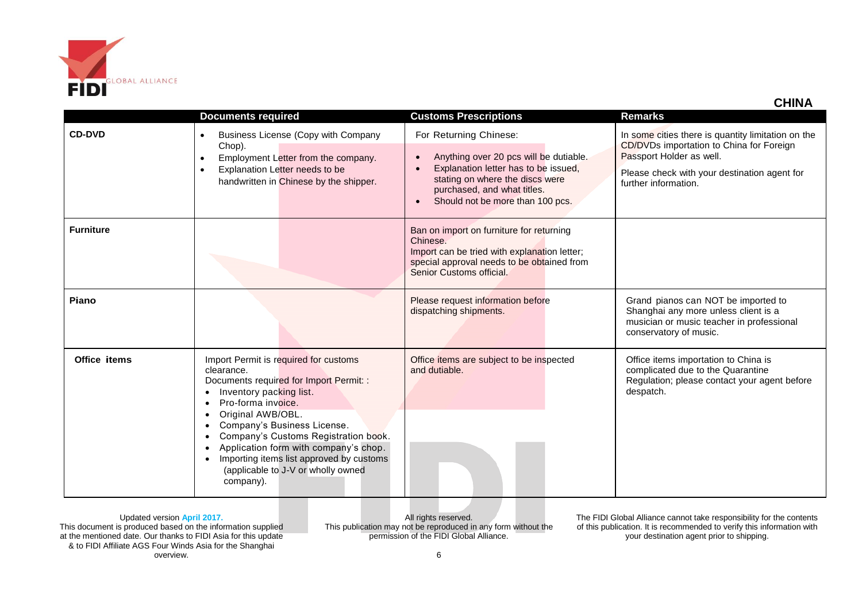

|                  | <b>Documents required</b>                                                                                                                                                                                                                                                                                                                                                                        | <b>Customs Prescriptions</b>                                                                                                                                                                                   | <b>Remarks</b>                                                                                                                                                                                     |
|------------------|--------------------------------------------------------------------------------------------------------------------------------------------------------------------------------------------------------------------------------------------------------------------------------------------------------------------------------------------------------------------------------------------------|----------------------------------------------------------------------------------------------------------------------------------------------------------------------------------------------------------------|----------------------------------------------------------------------------------------------------------------------------------------------------------------------------------------------------|
| <b>CD-DVD</b>    | Business License (Copy with Company<br>$\bullet$<br>Chop).<br>Employment Letter from the company.<br>$\bullet$<br>Explanation Letter needs to be<br>$\bullet$<br>handwritten in Chinese by the shipper.                                                                                                                                                                                          | For Returning Chinese:<br>Anything over 20 pcs will be dutiable.<br>Explanation letter has to be issued,<br>stating on where the discs were<br>purchased, and what titles.<br>Should not be more than 100 pcs. | In some cities there is quantity limitation on the<br>CD/DVDs importation to China for Foreign<br>Passport Holder as well.<br>Please check with your destination agent for<br>further information. |
| <b>Furniture</b> |                                                                                                                                                                                                                                                                                                                                                                                                  | Ban on import on furniture for returning<br>Chinese.<br>Import can be tried with explanation letter;<br>special approval needs to be obtained from<br>Senior Customs official.                                 |                                                                                                                                                                                                    |
| Piano            |                                                                                                                                                                                                                                                                                                                                                                                                  | Please request information before<br>dispatching shipments.                                                                                                                                                    | Grand pianos can NOT be imported to<br>Shanghai any more unless client is a<br>musician or music teacher in professional<br>conservatory of music.                                                 |
| Office items     | Import Permit is required for customs<br>clearance.<br>Documents required for Import Permit: :<br>Inventory packing list.<br>Pro-forma invoice.<br>Original AWB/OBL.<br>Company's Business License.<br>Company's Customs Registration book.<br>Application form with company's chop.<br>Importing items list approved by customs<br>$\bullet$<br>(applicable to J-V or wholly owned<br>company). | Office items are subject to be inspected<br>and dutiable.                                                                                                                                                      | Office items importation to China is<br>complicated due to the Quarantine<br>Regulation; please contact your agent before<br>despatch.                                                             |

All rights reserved. This publication may not be reproduced in any form without the permission of the FIDI Global Alliance.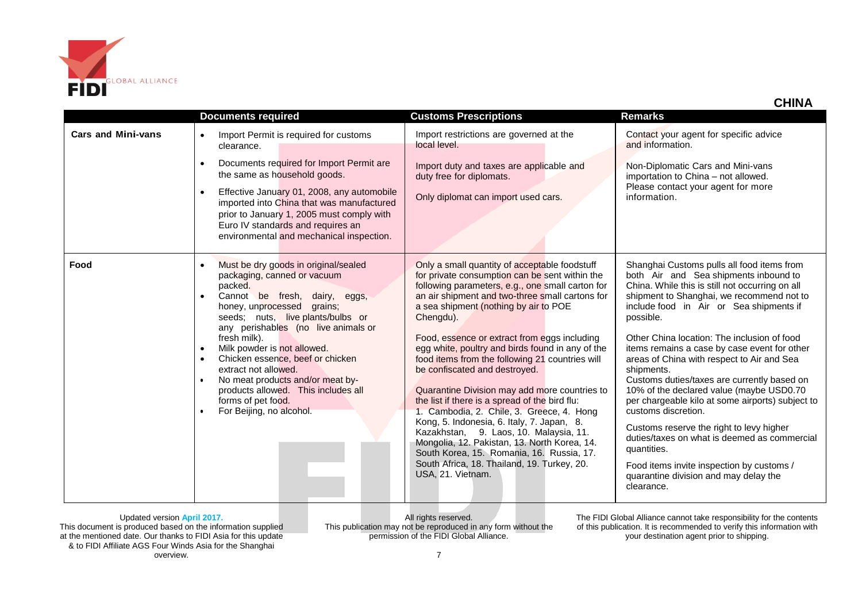

| :HIN, |
|-------|
|-------|

|                           |                                                                                                                                                                                                                                                                     |                                                                                                                                                                                                                                                                                                                                                                                                                                                                                                                                               | <b>CHINA</b>                                                                                                                                                                                                                                                                               |
|---------------------------|---------------------------------------------------------------------------------------------------------------------------------------------------------------------------------------------------------------------------------------------------------------------|-----------------------------------------------------------------------------------------------------------------------------------------------------------------------------------------------------------------------------------------------------------------------------------------------------------------------------------------------------------------------------------------------------------------------------------------------------------------------------------------------------------------------------------------------|--------------------------------------------------------------------------------------------------------------------------------------------------------------------------------------------------------------------------------------------------------------------------------------------|
|                           | <b>Documents required</b>                                                                                                                                                                                                                                           | <b>Customs Prescriptions</b>                                                                                                                                                                                                                                                                                                                                                                                                                                                                                                                  | <b>Remarks</b>                                                                                                                                                                                                                                                                             |
| <b>Cars and Mini-vans</b> | Import Permit is required for customs<br>$\bullet$<br>clearance.<br>Documents required for Import Permit are<br>$\bullet$                                                                                                                                           | Import restrictions are governed at the<br>local level.<br>Import duty and taxes are applicable and                                                                                                                                                                                                                                                                                                                                                                                                                                           | Contact your agent for specific advice<br>and information.<br>Non-Diplomatic Cars and Mini-vans                                                                                                                                                                                            |
|                           | the same as household goods.<br>Effective January 01, 2008, any automobile<br>$\bullet$<br>imported into China that was manufactured<br>prior to January 1, 2005 must comply with<br>Euro IV standards and requires an<br>environmental and mechanical inspection.  | duty free for diplomats.<br>Only diplomat can import used cars.                                                                                                                                                                                                                                                                                                                                                                                                                                                                               | importation to China - not allowed.<br>Please contact your agent for more<br>information.                                                                                                                                                                                                  |
| Food                      | Must be dry goods in original/sealed<br>$\bullet$<br>packaging, canned or vacuum<br>packed.<br>Cannot be fresh, dairy, eggs,<br>$\bullet$<br>honey, unprocessed grains;<br>seeds; nuts, live plants/bulbs or<br>any perishables (no live animals or<br>fresh milk). | Only a small quantity of acceptable foodstuff<br>for private consumption can be sent within the<br>following parameters, e.g., one small carton for<br>an air shipment and two-three small cartons for<br>a sea shipment (nothing by air to POE<br>Chengdu).<br>Food, essence or extract from eggs including                                                                                                                                                                                                                                  | Shanghai Customs pulls all food items from<br>both Air and Sea shipments inbound to<br>China. While this is still not occurring on all<br>shipment to Shanghai, we recommend not to<br>include food in Air or Sea shipments if<br>possible.<br>Other China location: The inclusion of food |
|                           | Milk powder is not allowed.<br>$\bullet$<br>Chicken essence, beef or chicken<br>$\bullet$<br>extract not allowed.<br>No meat products and/or meat by-<br>products allowed. This includes all<br>forms of pet food.<br>For Beijing, no alcohol.                      | egg white, poultry and birds found in any of the<br>food items from the following 21 countries will<br>be confiscated and destroved.<br>Quarantine Division may add more countries to<br>the list if there is a spread of the bird flu:<br>1. Cambodia, 2. Chile, 3. Greece, 4. Hong<br>Kong, 5. Indonesia, 6. Italy, 7. Japan, 8.<br>Kazakhstan, 9. Laos, 10. Malaysia, 11.<br>Mongolia, 12. Pakistan, 13. North Korea, 14.<br>South Korea, 15. Romania, 16. Russia, 17.<br>South Africa, 18. Thailand, 19. Turkey, 20.<br>USA, 21. Vietnam. | items remains a case by case event for other<br>areas of China with respect to Air and Sea<br>shipments.<br>Customs duties/taxes are currently based on<br>10% of the declared value (maybe USD0.70<br>per chargeable kilo at some airports) subject to<br>customs discretion.             |
|                           |                                                                                                                                                                                                                                                                     |                                                                                                                                                                                                                                                                                                                                                                                                                                                                                                                                               | Customs reserve the right to levy higher<br>duties/taxes on what is deemed as commercial<br>quantities.<br>Food items invite inspection by customs /<br>quarantine division and may delay the<br>clearance.                                                                                |

All rights reserved. This publication may not be reproduced in any form without the permission of the FIDI Global Alliance.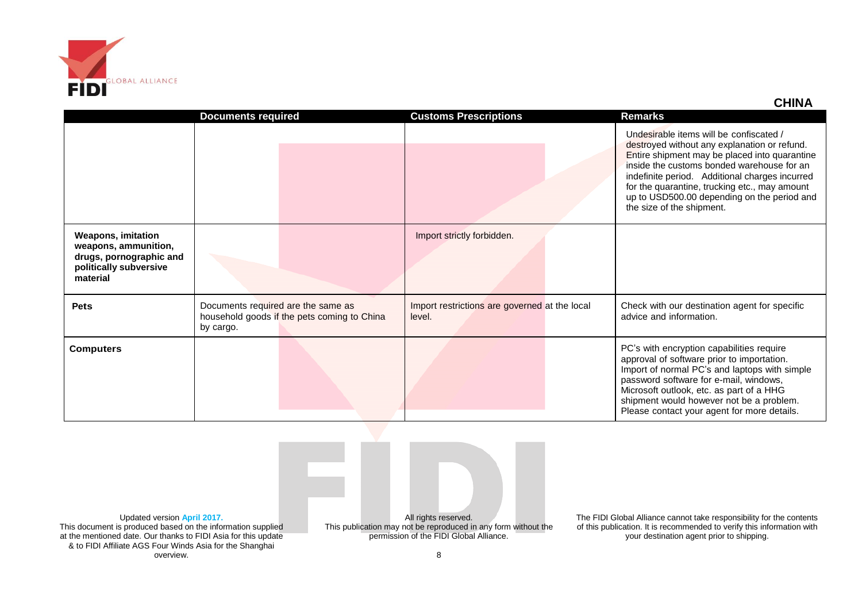

|                                                                                                                    | <b>Documents required</b>                                                                      | <b>Customs Prescriptions</b>                            | Remarks                                                                                                                                                                                                                                                                                                                                                               |
|--------------------------------------------------------------------------------------------------------------------|------------------------------------------------------------------------------------------------|---------------------------------------------------------|-----------------------------------------------------------------------------------------------------------------------------------------------------------------------------------------------------------------------------------------------------------------------------------------------------------------------------------------------------------------------|
|                                                                                                                    |                                                                                                |                                                         | Undesirable items will be confiscated /<br>destroyed without any explanation or refund.<br>Entire shipment may be placed into quarantine<br>inside the customs bonded warehouse for an<br>indefinite period. Additional charges incurred<br>for the quarantine, trucking etc., may amount<br>up to USD500.00 depending on the period and<br>the size of the shipment. |
| <b>Weapons, imitation</b><br>weapons, ammunition,<br>drugs, pornographic and<br>politically subversive<br>material |                                                                                                | Import strictly forbidden.                              |                                                                                                                                                                                                                                                                                                                                                                       |
| <b>Pets</b>                                                                                                        | Documents required are the same as<br>household goods if the pets coming to China<br>by cargo. | Import restrictions are governed at the local<br>level. | Check with our destination agent for specific<br>advice and information.                                                                                                                                                                                                                                                                                              |
| <b>Computers</b>                                                                                                   |                                                                                                |                                                         | PC's with encryption capabilities require<br>approval of software prior to importation.<br>Import of normal PC's and laptops with simple<br>password software for e-mail, windows,<br>Microsoft outlook, etc. as part of a HHG<br>shipment would however not be a problem.<br>Please contact your agent for more details.                                             |

Updated version **April 2017.** This document is produced based on the information supplied at the mentioned date. Our thanks to FIDI Asia for this update & to FIDI Affiliate AGS Four Winds Asia for the Shanghai overview.

All rights reserved. This publication may not be reproduced in any form without the permission of the FIDI Global Alliance.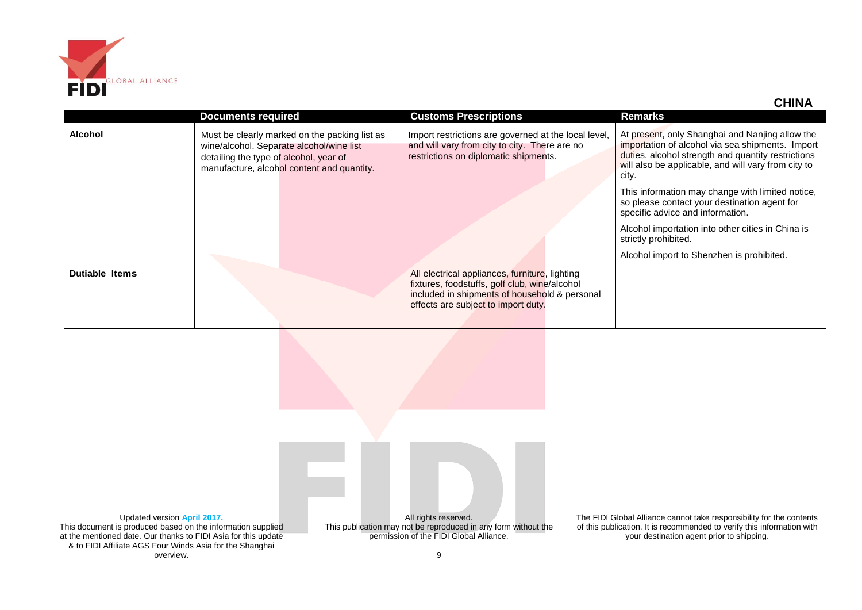

|                       | <b>Documents required</b>                                                                                                                                                         | <b>Customs Prescriptions</b>                                                                                                                                                            | <b>Remarks</b>                                                                                                                                                                                                            |
|-----------------------|-----------------------------------------------------------------------------------------------------------------------------------------------------------------------------------|-----------------------------------------------------------------------------------------------------------------------------------------------------------------------------------------|---------------------------------------------------------------------------------------------------------------------------------------------------------------------------------------------------------------------------|
| <b>Alcohol</b>        | Must be clearly marked on the packing list as<br>wine/alcohol. Separate alcohol/wine list<br>detailing the type of alcohol, year of<br>manufacture, alcohol content and quantity. | Import restrictions are governed at the local level,<br>and will vary from city to city. There are no<br>restrictions on diplomatic shipments.                                          | At present, only Shanghai and Nanjing allow the<br>importation of alcohol via sea shipments. Import<br>duties, alcohol strength and quantity restrictions<br>will also be applicable, and will vary from city to<br>city. |
|                       |                                                                                                                                                                                   |                                                                                                                                                                                         | This information may change with limited notice,<br>so please contact your destination agent for<br>specific advice and information.                                                                                      |
|                       |                                                                                                                                                                                   |                                                                                                                                                                                         | Alcohol importation into other cities in China is<br>strictly prohibited.                                                                                                                                                 |
|                       |                                                                                                                                                                                   |                                                                                                                                                                                         | Alcohol import to Shenzhen is prohibited.                                                                                                                                                                                 |
| <b>Dutiable Items</b> |                                                                                                                                                                                   | All electrical appliances, furniture, lighting<br>fixtures, foodstuffs, golf club, wine/alcohol<br>included in shipments of household & personal<br>effects are subject to import duty. |                                                                                                                                                                                                                           |

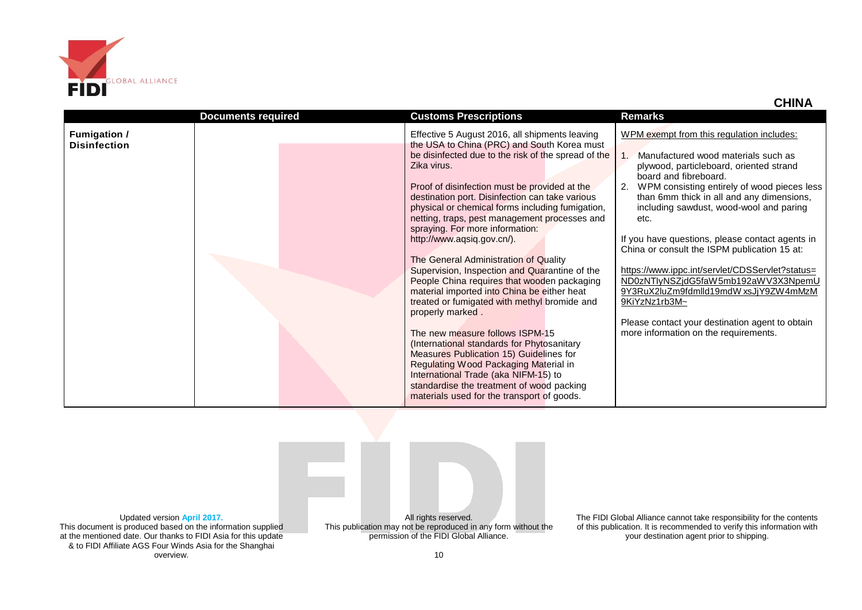

|                                            | <b>Documents required</b> | <b>Customs Prescriptions</b>                                                                                                                                                                                                                                                                                                                                                                                                                                                                                                                                                                                                                                                                                                                                                                                                                                                                                                                                                                                      | <b>Remarks</b>                                                                                                                                                                                                                                                                                                                                                                                                                                                                                                                                                                                                                                            |
|--------------------------------------------|---------------------------|-------------------------------------------------------------------------------------------------------------------------------------------------------------------------------------------------------------------------------------------------------------------------------------------------------------------------------------------------------------------------------------------------------------------------------------------------------------------------------------------------------------------------------------------------------------------------------------------------------------------------------------------------------------------------------------------------------------------------------------------------------------------------------------------------------------------------------------------------------------------------------------------------------------------------------------------------------------------------------------------------------------------|-----------------------------------------------------------------------------------------------------------------------------------------------------------------------------------------------------------------------------------------------------------------------------------------------------------------------------------------------------------------------------------------------------------------------------------------------------------------------------------------------------------------------------------------------------------------------------------------------------------------------------------------------------------|
| <b>Fumigation /</b><br><b>Disinfection</b> |                           | Effective 5 August 2016, all shipments leaving<br>the USA to China (PRC) and South Korea must<br>be disinfected due to the risk of the spread of the<br>Zika virus.<br>Proof of disinfection must be provided at the<br>destination port. Disinfection can take various<br>physical or chemical forms including fumigation,<br>netting, traps, pest management processes and<br>spraying. For more information:<br>http://www.aqsiq.gov.cn/).<br>The General Administration of Quality<br>Supervision, Inspection and Quarantine of the<br>People China requires that wooden packaging<br>material imported into China be either heat<br>treated or fumigated with methyl bromide and<br>properly marked.<br>The new measure follows ISPM-15<br>(International standards for Phytosanitary<br>Measures Publication 15) Guidelines for<br>Regulating Wood Packaging Material in<br>International Trade (aka NIFM-15) to<br>standardise the treatment of wood packing<br>materials used for the transport of goods. | WPM exempt from this regulation includes:<br>Manufactured wood materials such as<br>plywood, particleboard, oriented strand<br>board and fibreboard.<br>2. WPM consisting entirely of wood pieces less<br>than 6mm thick in all and any dimensions,<br>including sawdust, wood-wool and paring<br>etc.<br>If you have questions, please contact agents in<br>China or consult the ISPM publication 15 at:<br>https://www.ippc.int/servlet/CDSServlet?status=<br>ND0zNTlyNSZjdG5faW5mb192aWV3X3NpemU<br>9Y3RuX2luZm9fdmlld19mdW xsJjY9ZW4mMzM<br>9KiYzNz1rb3M~<br>Please contact your destination agent to obtain<br>more information on the requirements. |

Updated version **April 2017.** This document is produced based on the information supplied at the mentioned date. Our thanks to FIDI Asia for this update & to FIDI Affiliate AGS Four Winds Asia for the Shanghai overview.

All rights reserved. This publication may not be reproduced in any form without the permission of the FIDI Global Alliance.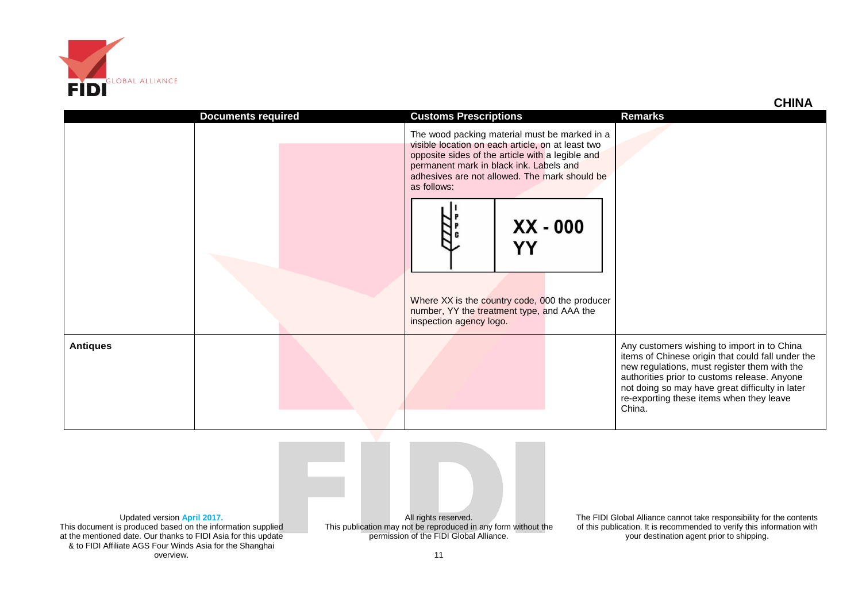

& to FIDI Affiliate AGS Four Winds Asia for the Shanghai overview.

|                                                                                                                                                              |                           |                                                                                                                                                                                                                                                                                                                                                                                                                  | <b>CHINA</b>                                                                                                                                                                                                                                                                                              |
|--------------------------------------------------------------------------------------------------------------------------------------------------------------|---------------------------|------------------------------------------------------------------------------------------------------------------------------------------------------------------------------------------------------------------------------------------------------------------------------------------------------------------------------------------------------------------------------------------------------------------|-----------------------------------------------------------------------------------------------------------------------------------------------------------------------------------------------------------------------------------------------------------------------------------------------------------|
|                                                                                                                                                              | <b>Documents required</b> | <b>Customs Prescriptions</b>                                                                                                                                                                                                                                                                                                                                                                                     | <b>Remarks</b>                                                                                                                                                                                                                                                                                            |
|                                                                                                                                                              |                           | The wood packing material must be marked in a<br>visible location on each article, on at least two<br>opposite sides of the article with a legible and<br>permanent mark in black ink. Labels and<br>adhesives are not allowed. The mark should be<br>as follows:<br>$XX - 000$<br>YY<br>Where XX is the country code, 000 the producer<br>number, YY the treatment type, and AAA the<br>inspection agency logo. |                                                                                                                                                                                                                                                                                                           |
| <b>Antiques</b>                                                                                                                                              |                           |                                                                                                                                                                                                                                                                                                                                                                                                                  | Any customers wishing to import in to China<br>items of Chinese origin that could fall under the<br>new regulations, must register them with the<br>authorities prior to customs release. Anyone<br>not doing so may have great difficulty in later<br>re-exporting these items when they leave<br>China. |
| Updated version April 2017.<br>This document is produced based on the information supplied<br>at the mentioned date. Our thanks to FIDI Asia for this update |                           | All rights reserved.<br>This publication may not be reproduced in any form without the<br>permission of the FIDI Global Alliance.                                                                                                                                                                                                                                                                                | The FIDI Global Alliance cannot take responsibility for the contents<br>of this publication. It is recommended to verify this information with<br>your destination agent prior to shipping.                                                                                                               |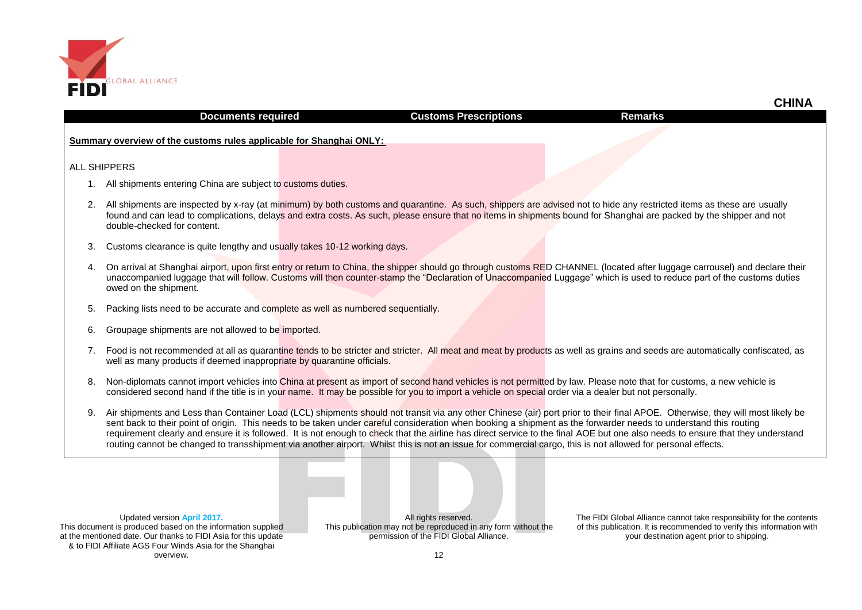

## **Goods Documents required Customs Prescriptions Remarks**

 **CHINA**

**Summary overview of the customs rules applicable for Shanghai ONLY:** 

### ALL SHIPPERS

- 1. All shipments entering China are subject to customs duties.
- 2. All shipments are inspected by x-ray (at minimum) by both customs and quarantine. As such, shippers are advised not to hide any restricted items as these are usually found and can lead to complications, delays and extra costs. As such, please ensure that no items in shipments bound for Shanghai are packed by the shipper and not double-checked for content.
- 3. Customs clearance is quite lengthy and usually takes 10-12 working days.
- 4. On arrival at Shanghai airport, upon first entry or return to China, the shipper should go through customs RED CHANNEL (located after luggage carrousel) and declare their unaccompanied luggage that will follow. Customs will then counter-stamp the "Declaration of Unaccompanied Luggage" which is used to reduce part of the customs duties owed on the shipment.
- 5. Packing lists need to be accurate and complete as well as numbered sequentially.
- 6. Groupage shipments are not allowed to be imported.
- 7. Food is not recommended at all as quarantine tends to be stricter and stricter. All meat and meat by products as well as grains and seeds are automatically confiscated, as well as many products if deemed inappropriate by quarantine officials.
- 8. Non-diplomats cannot import vehicles into China at present as import of second hand vehicles is not permitted by law. Please note that for customs, a new vehicle is considered second hand if the title is in your name. It may be possible for you to import a vehicle on special order via a dealer but not personally.
- 9. Air shipments and Less than Container Load (LCL) shipments should not transit via any other Chinese (air) port prior to their final APOE. Otherwise, they will most likely be sent back to their point of origin. This needs to be taken under careful consideration when booking a shipment as the forwarder needs to understand this routing requirement clearly and ensure it is followed. It is not enough to check that the airline has direct service to the final AOE but one also needs to ensure that they understand routing cannot be changed to transshipment via another airport. Whilst this is not an issue for commercial cargo, this is not allowed for personal effects.

Updated version **April 2017.** This document is produced based on the information supplied at the mentioned date. Our thanks to FIDI Asia for this update & to FIDI Affiliate AGS Four Winds Asia for the Shanghai overview.

All rights reserved. This publication may not be reproduced in any form without the permission of the FIDI Global Alliance.